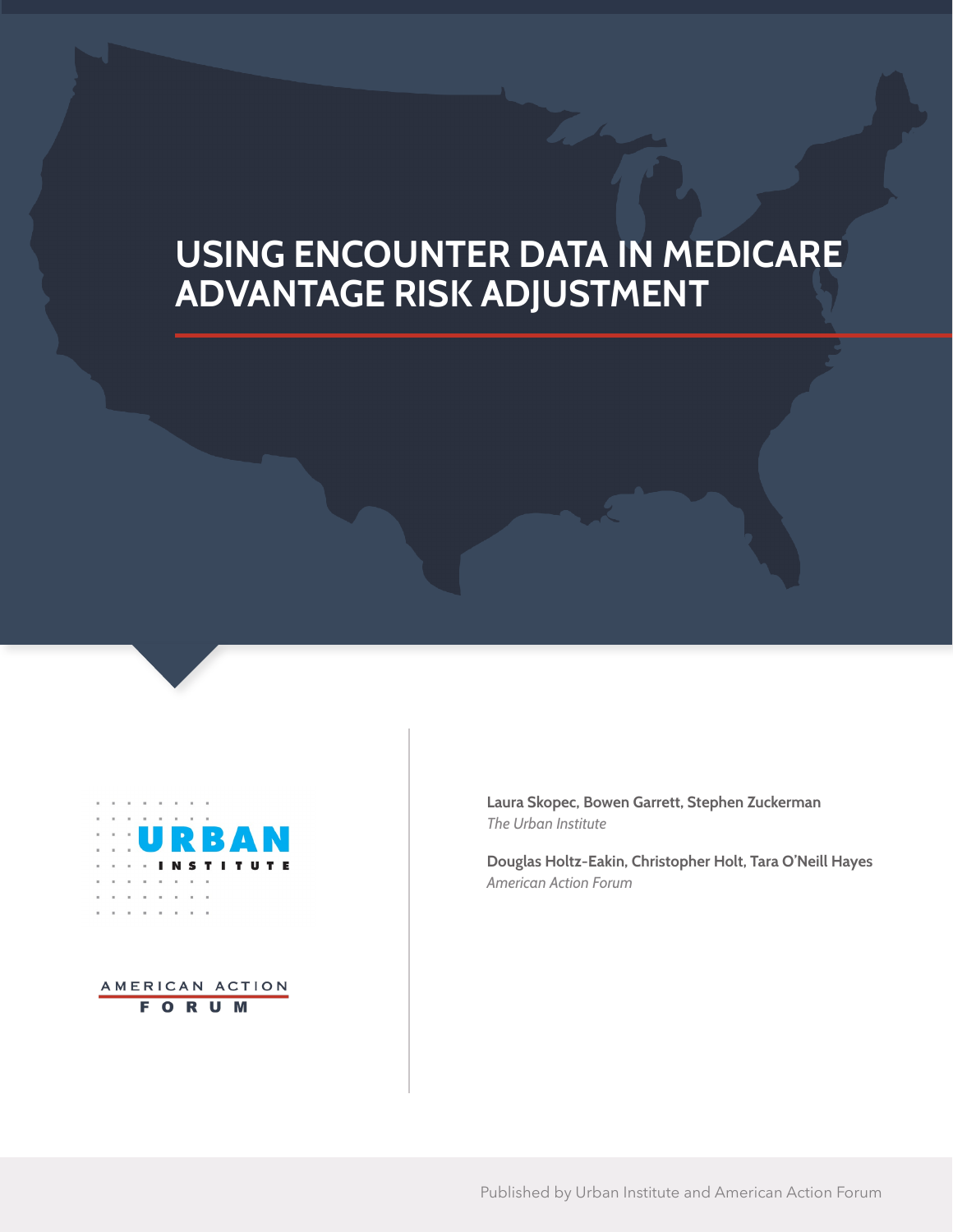# **USING ENCOUNTER DATA IN MEDICARE ADVANTAGE RISK ADJUSTMENT**



AMERICAN ACTION **FORUM** 

**Laura Skopec, Bowen Garrett, Stephen Zuckerman** *The Urban Institute*

**Douglas Holtz-Eakin, Christopher Holt, Tara O'Neill Hayes** *American Action Forum*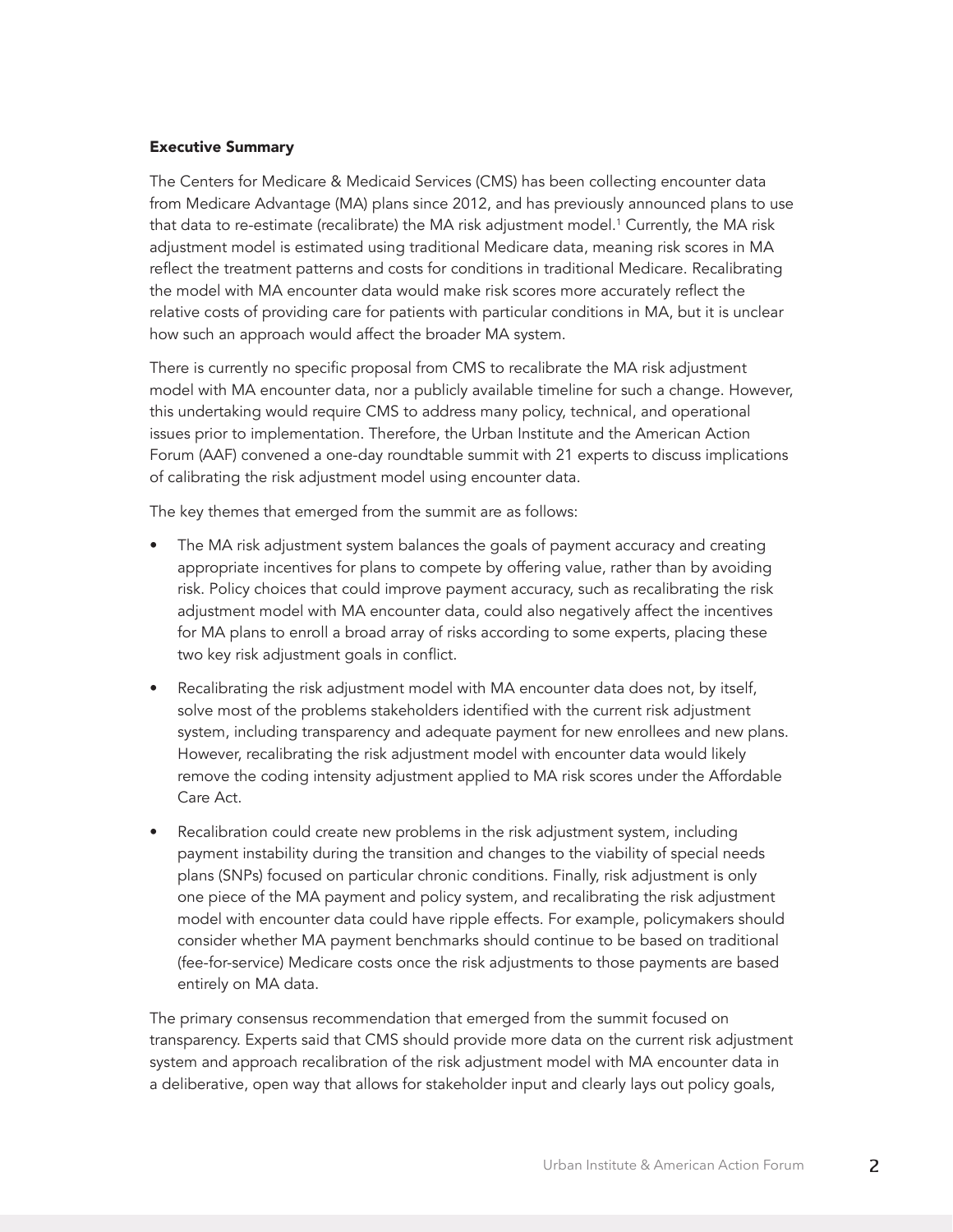#### Executive Summary

The Centers for Medicare & Medicaid Services (CMS) has been collecting encounter data from Medicare Advantage (MA) plans since 2012, and has previously announced plans to use that data to re-estimate (recalibrate) the MA risk adjustment model.<sup>1</sup> Currently, the MA risk adjustment model is estimated using traditional Medicare data, meaning risk scores in MA reflect the treatment patterns and costs for conditions in traditional Medicare. Recalibrating the model with MA encounter data would make risk scores more accurately reflect the relative costs of providing care for patients with particular conditions in MA, but it is unclear how such an approach would affect the broader MA system.

There is currently no specific proposal from CMS to recalibrate the MA risk adjustment model with MA encounter data, nor a publicly available timeline for such a change. However, this undertaking would require CMS to address many policy, technical, and operational issues prior to implementation. Therefore, the Urban Institute and the American Action Forum (AAF) convened a one-day roundtable summit with 21 experts to discuss implications of calibrating the risk adjustment model using encounter data.

The key themes that emerged from the summit are as follows:

- The MA risk adjustment system balances the goals of payment accuracy and creating appropriate incentives for plans to compete by offering value, rather than by avoiding risk. Policy choices that could improve payment accuracy, such as recalibrating the risk adjustment model with MA encounter data, could also negatively affect the incentives for MA plans to enroll a broad array of risks according to some experts, placing these two key risk adjustment goals in conflict.
- Recalibrating the risk adjustment model with MA encounter data does not, by itself, solve most of the problems stakeholders identified with the current risk adjustment system, including transparency and adequate payment for new enrollees and new plans. However, recalibrating the risk adjustment model with encounter data would likely remove the coding intensity adjustment applied to MA risk scores under the Affordable Care Act.
- Recalibration could create new problems in the risk adjustment system, including payment instability during the transition and changes to the viability of special needs plans (SNPs) focused on particular chronic conditions. Finally, risk adjustment is only one piece of the MA payment and policy system, and recalibrating the risk adjustment model with encounter data could have ripple effects. For example, policymakers should consider whether MA payment benchmarks should continue to be based on traditional (fee-for-service) Medicare costs once the risk adjustments to those payments are based entirely on MA data.

The primary consensus recommendation that emerged from the summit focused on transparency. Experts said that CMS should provide more data on the current risk adjustment system and approach recalibration of the risk adjustment model with MA encounter data in a deliberative, open way that allows for stakeholder input and clearly lays out policy goals,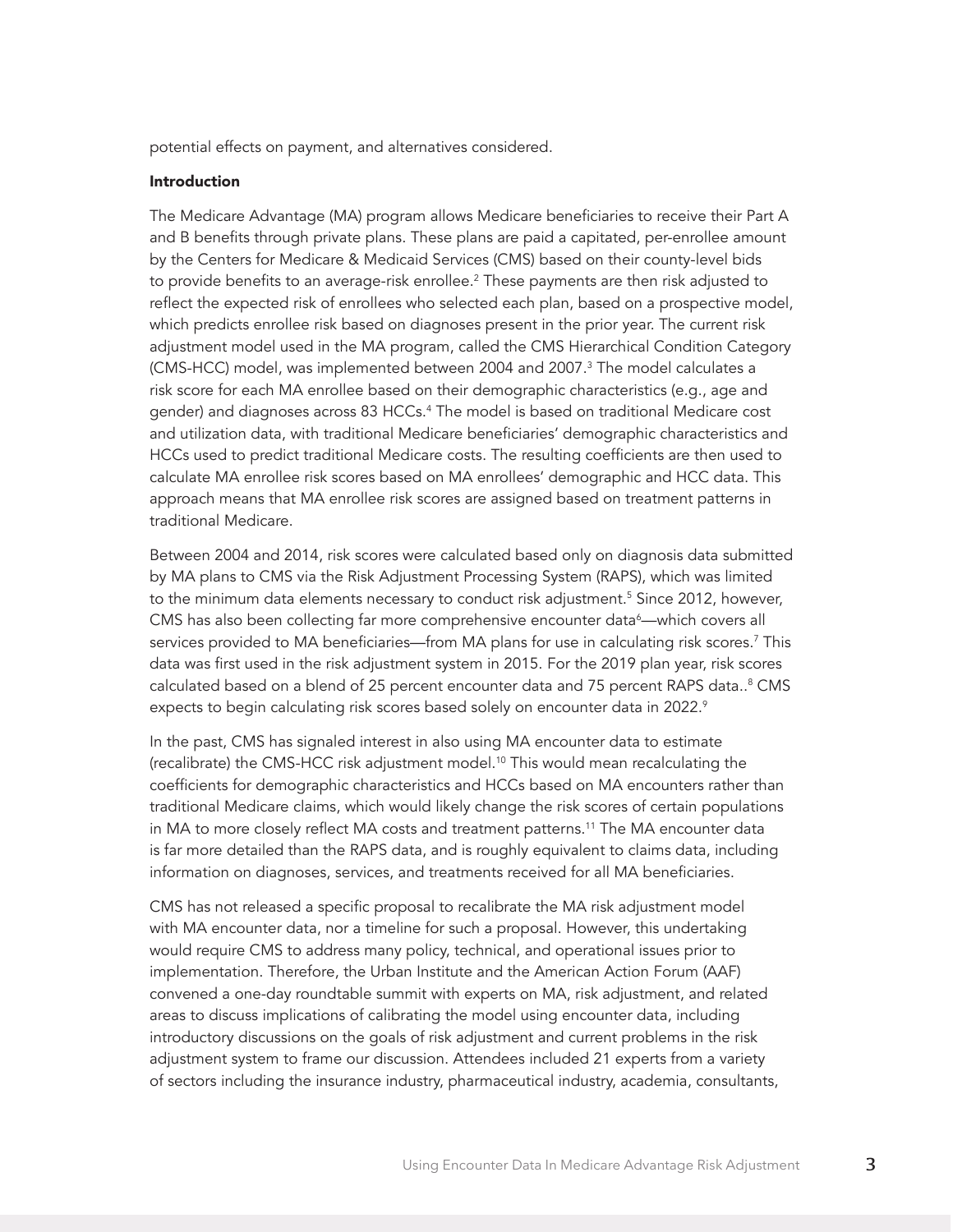potential effects on payment, and alternatives considered.

#### Introduction

The Medicare Advantage (MA) program allows Medicare beneficiaries to receive their Part A and B benefits through private plans. These plans are paid a capitated, per-enrollee amount by the Centers for Medicare & Medicaid Services (CMS) based on their county-level bids to provide benefits to an average-risk enrollee.<sup>2</sup> These payments are then risk adjusted to reflect the expected risk of enrollees who selected each plan, based on a prospective model, which predicts enrollee risk based on diagnoses present in the prior year. The current risk adjustment model used in the MA program, called the CMS Hierarchical Condition Category (CMS-HCC) model, was implemented between 2004 and 2007.<sup>3</sup> The model calculates a risk score for each MA enrollee based on their demographic characteristics (e.g., age and gender) and diagnoses across 83 HCCs.4 The model is based on traditional Medicare cost and utilization data, with traditional Medicare beneficiaries' demographic characteristics and HCCs used to predict traditional Medicare costs. The resulting coefficients are then used to calculate MA enrollee risk scores based on MA enrollees' demographic and HCC data. This approach means that MA enrollee risk scores are assigned based on treatment patterns in traditional Medicare.

Between 2004 and 2014, risk scores were calculated based only on diagnosis data submitted by MA plans to CMS via the Risk Adjustment Processing System (RAPS), which was limited to the minimum data elements necessary to conduct risk adjustment.<sup>5</sup> Since 2012, however, CMS has also been collecting far more comprehensive encounter data<sup>6</sup>—which covers all services provided to MA beneficiaries—from MA plans for use in calculating risk scores.<sup>7</sup> This data was first used in the risk adjustment system in 2015. For the 2019 plan year, risk scores calculated based on a blend of 25 percent encounter data and 75 percent RAPS data..<sup>8</sup> CMS expects to begin calculating risk scores based solely on encounter data in 2022.<sup>9</sup>

In the past, CMS has signaled interest in also using MA encounter data to estimate (recalibrate) the CMS-HCC risk adjustment model.10 This would mean recalculating the coefficients for demographic characteristics and HCCs based on MA encounters rather than traditional Medicare claims, which would likely change the risk scores of certain populations in MA to more closely reflect MA costs and treatment patterns.11 The MA encounter data is far more detailed than the RAPS data, and is roughly equivalent to claims data, including information on diagnoses, services, and treatments received for all MA beneficiaries.

CMS has not released a specific proposal to recalibrate the MA risk adjustment model with MA encounter data, nor a timeline for such a proposal. However, this undertaking would require CMS to address many policy, technical, and operational issues prior to implementation. Therefore, the Urban Institute and the American Action Forum (AAF) convened a one-day roundtable summit with experts on MA, risk adjustment, and related areas to discuss implications of calibrating the model using encounter data, including introductory discussions on the goals of risk adjustment and current problems in the risk adjustment system to frame our discussion. Attendees included 21 experts from a variety of sectors including the insurance industry, pharmaceutical industry, academia, consultants,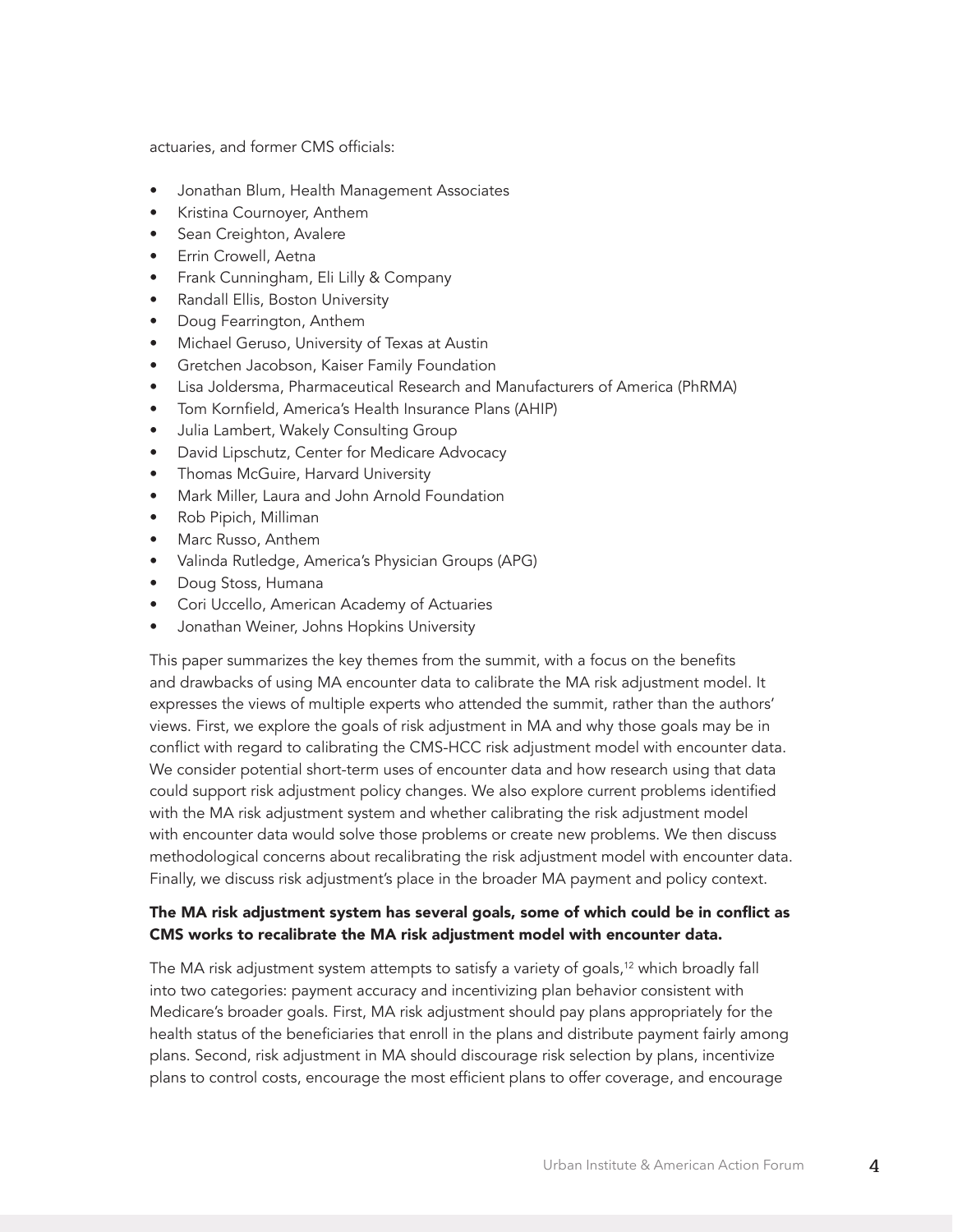actuaries, and former CMS officials:

- Jonathan Blum, Health Management Associates
- Kristina Cournoyer, Anthem
- Sean Creighton, Avalere
- Errin Crowell, Aetna
- Frank Cunningham, Eli Lilly & Company
- Randall Ellis, Boston University
- Doug Fearrington, Anthem
- Michael Geruso, University of Texas at Austin
- Gretchen Jacobson, Kaiser Family Foundation
- Lisa Joldersma, Pharmaceutical Research and Manufacturers of America (PhRMA)
- Tom Kornfield, America's Health Insurance Plans (AHIP)
- Julia Lambert, Wakely Consulting Group
- David Lipschutz, Center for Medicare Advocacy
- Thomas McGuire, Harvard University
- Mark Miller, Laura and John Arnold Foundation
- Rob Pipich, Milliman
- Marc Russo, Anthem
- Valinda Rutledge, America's Physician Groups (APG)
- Doug Stoss, Humana
- Cori Uccello, American Academy of Actuaries
- Jonathan Weiner, Johns Hopkins University

This paper summarizes the key themes from the summit, with a focus on the benefits and drawbacks of using MA encounter data to calibrate the MA risk adjustment model. It expresses the views of multiple experts who attended the summit, rather than the authors' views. First, we explore the goals of risk adjustment in MA and why those goals may be in conflict with regard to calibrating the CMS-HCC risk adjustment model with encounter data. We consider potential short-term uses of encounter data and how research using that data could support risk adjustment policy changes. We also explore current problems identified with the MA risk adjustment system and whether calibrating the risk adjustment model with encounter data would solve those problems or create new problems. We then discuss methodological concerns about recalibrating the risk adjustment model with encounter data. Finally, we discuss risk adjustment's place in the broader MA payment and policy context.

## The MA risk adjustment system has several goals, some of which could be in conflict as CMS works to recalibrate the MA risk adjustment model with encounter data.

The MA risk adjustment system attempts to satisfy a variety of goals,<sup>12</sup> which broadly fall into two categories: payment accuracy and incentivizing plan behavior consistent with Medicare's broader goals. First, MA risk adjustment should pay plans appropriately for the health status of the beneficiaries that enroll in the plans and distribute payment fairly among plans. Second, risk adjustment in MA should discourage risk selection by plans, incentivize plans to control costs, encourage the most efficient plans to offer coverage, and encourage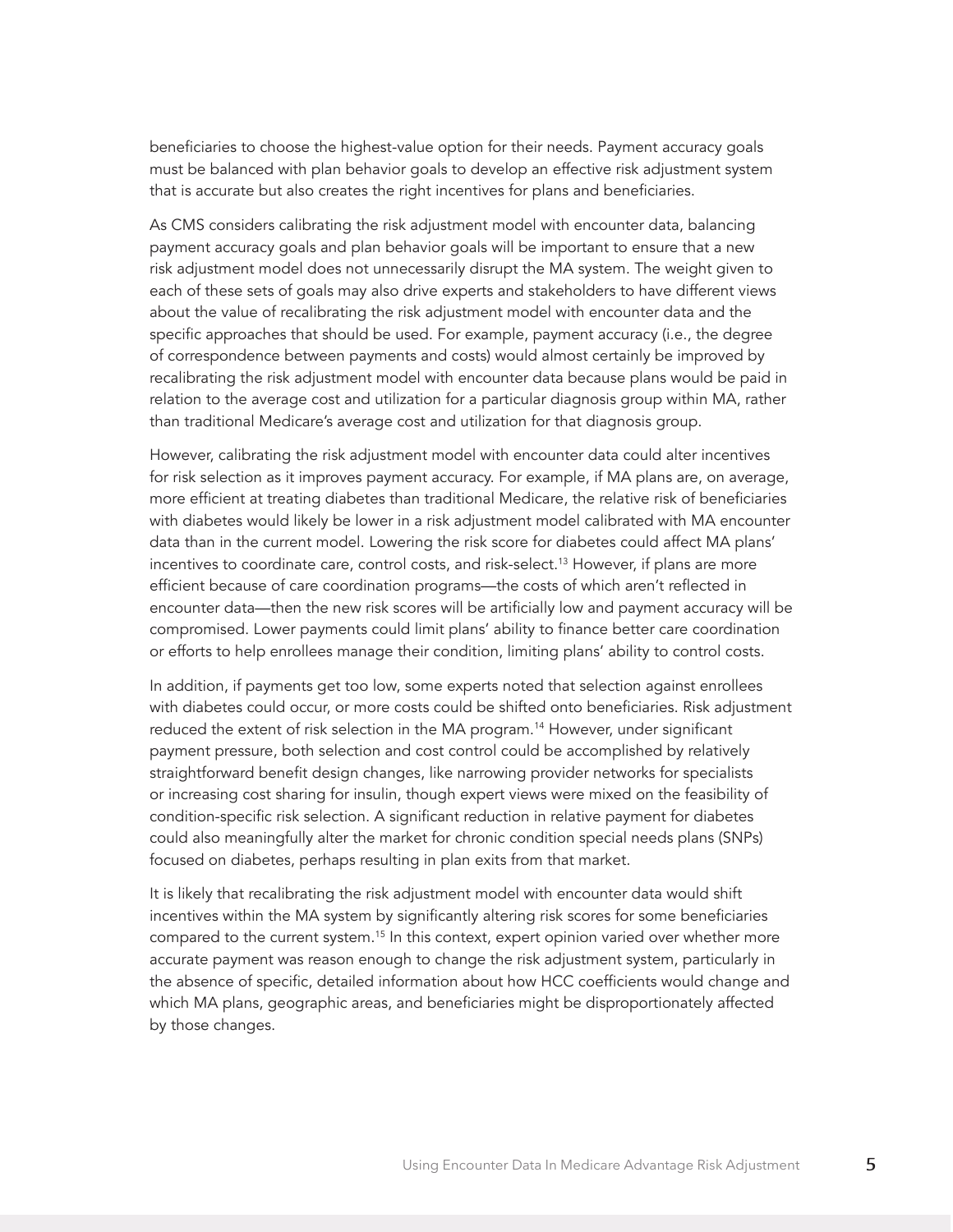beneficiaries to choose the highest-value option for their needs. Payment accuracy goals must be balanced with plan behavior goals to develop an effective risk adjustment system that is accurate but also creates the right incentives for plans and beneficiaries.

As CMS considers calibrating the risk adjustment model with encounter data, balancing payment accuracy goals and plan behavior goals will be important to ensure that a new risk adjustment model does not unnecessarily disrupt the MA system. The weight given to each of these sets of goals may also drive experts and stakeholders to have different views about the value of recalibrating the risk adjustment model with encounter data and the specific approaches that should be used. For example, payment accuracy (i.e., the degree of correspondence between payments and costs) would almost certainly be improved by recalibrating the risk adjustment model with encounter data because plans would be paid in relation to the average cost and utilization for a particular diagnosis group within MA, rather than traditional Medicare's average cost and utilization for that diagnosis group.

However, calibrating the risk adjustment model with encounter data could alter incentives for risk selection as it improves payment accuracy. For example, if MA plans are, on average, more efficient at treating diabetes than traditional Medicare, the relative risk of beneficiaries with diabetes would likely be lower in a risk adjustment model calibrated with MA encounter data than in the current model. Lowering the risk score for diabetes could affect MA plans' incentives to coordinate care, control costs, and risk-select.<sup>13</sup> However, if plans are more efficient because of care coordination programs—the costs of which aren't reflected in encounter data—then the new risk scores will be artificially low and payment accuracy will be compromised. Lower payments could limit plans' ability to finance better care coordination or efforts to help enrollees manage their condition, limiting plans' ability to control costs.

In addition, if payments get too low, some experts noted that selection against enrollees with diabetes could occur, or more costs could be shifted onto beneficiaries. Risk adjustment reduced the extent of risk selection in the MA program.<sup>14</sup> However, under significant payment pressure, both selection and cost control could be accomplished by relatively straightforward benefit design changes, like narrowing provider networks for specialists or increasing cost sharing for insulin, though expert views were mixed on the feasibility of condition-specific risk selection. A significant reduction in relative payment for diabetes could also meaningfully alter the market for chronic condition special needs plans (SNPs) focused on diabetes, perhaps resulting in plan exits from that market.

It is likely that recalibrating the risk adjustment model with encounter data would shift incentives within the MA system by significantly altering risk scores for some beneficiaries compared to the current system.<sup>15</sup> In this context, expert opinion varied over whether more accurate payment was reason enough to change the risk adjustment system, particularly in the absence of specific, detailed information about how HCC coefficients would change and which MA plans, geographic areas, and beneficiaries might be disproportionately affected by those changes.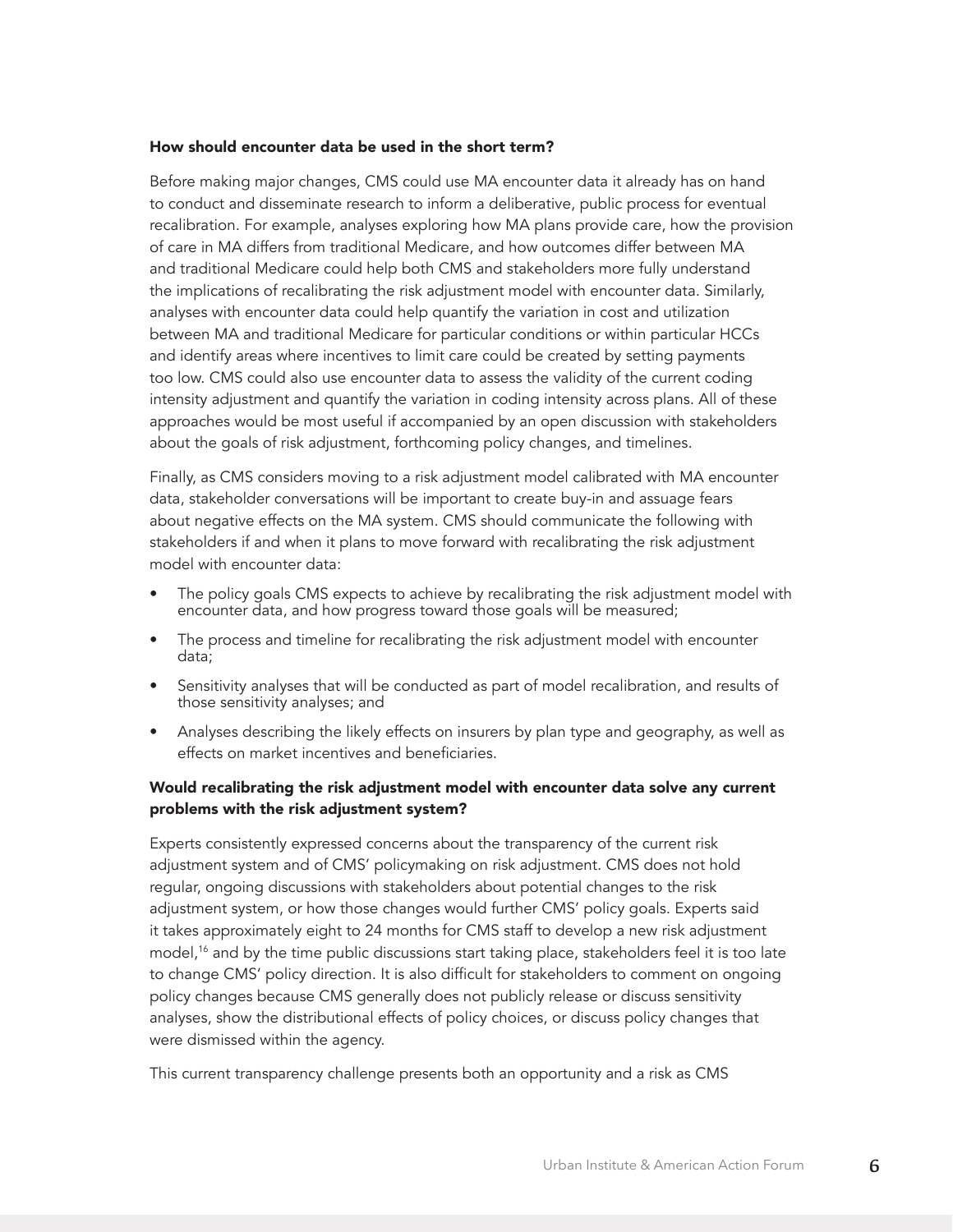#### How should encounter data be used in the short term?

Before making major changes, CMS could use MA encounter data it already has on hand to conduct and disseminate research to inform a deliberative, public process for eventual recalibration. For example, analyses exploring how MA plans provide care, how the provision of care in MA differs from traditional Medicare, and how outcomes differ between MA and traditional Medicare could help both CMS and stakeholders more fully understand the implications of recalibrating the risk adjustment model with encounter data. Similarly, analyses with encounter data could help quantify the variation in cost and utilization between MA and traditional Medicare for particular conditions or within particular HCCs and identify areas where incentives to limit care could be created by setting payments too low. CMS could also use encounter data to assess the validity of the current coding intensity adjustment and quantify the variation in coding intensity across plans. All of these approaches would be most useful if accompanied by an open discussion with stakeholders about the goals of risk adjustment, forthcoming policy changes, and timelines.

Finally, as CMS considers moving to a risk adjustment model calibrated with MA encounter data, stakeholder conversations will be important to create buy-in and assuage fears about negative effects on the MA system. CMS should communicate the following with stakeholders if and when it plans to move forward with recalibrating the risk adjustment model with encounter data:

- The policy goals CMS expects to achieve by recalibrating the risk adjustment model with encounter data, and how progress toward those goals will be measured;
- The process and timeline for recalibrating the risk adjustment model with encounter data;
- Sensitivity analyses that will be conducted as part of model recalibration, and results of those sensitivity analyses; and
- Analyses describing the likely effects on insurers by plan type and geography, as well as effects on market incentives and beneficiaries.

## Would recalibrating the risk adjustment model with encounter data solve any current problems with the risk adjustment system?

Experts consistently expressed concerns about the transparency of the current risk adjustment system and of CMS' policymaking on risk adjustment. CMS does not hold regular, ongoing discussions with stakeholders about potential changes to the risk adjustment system, or how those changes would further CMS' policy goals. Experts said it takes approximately eight to 24 months for CMS staff to develop a new risk adjustment model,<sup>16</sup> and by the time public discussions start taking place, stakeholders feel it is too late to change CMS' policy direction. It is also difficult for stakeholders to comment on ongoing policy changes because CMS generally does not publicly release or discuss sensitivity analyses, show the distributional effects of policy choices, or discuss policy changes that were dismissed within the agency.

This current transparency challenge presents both an opportunity and a risk as CMS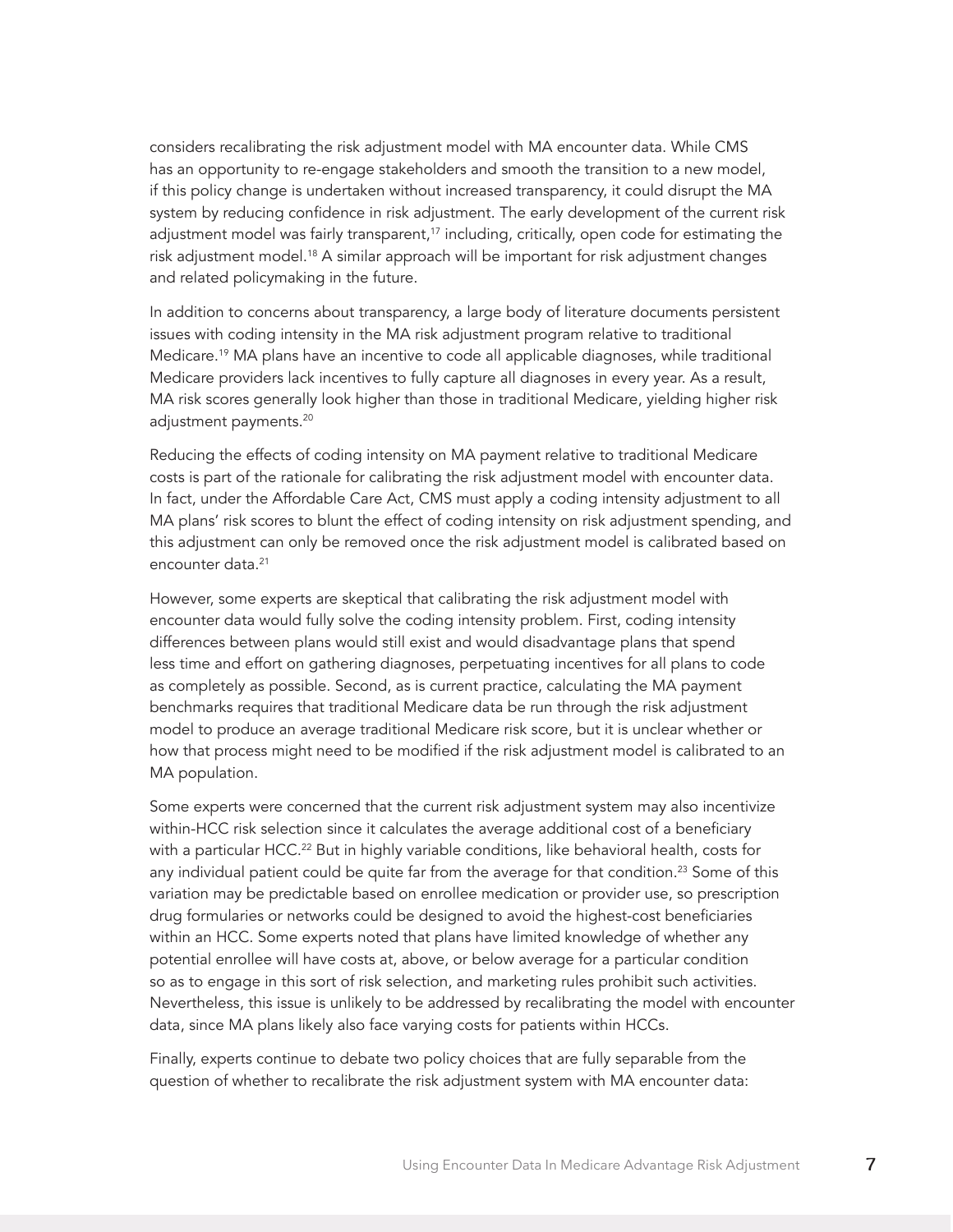considers recalibrating the risk adjustment model with MA encounter data. While CMS has an opportunity to re-engage stakeholders and smooth the transition to a new model, if this policy change is undertaken without increased transparency, it could disrupt the MA system by reducing confidence in risk adjustment. The early development of the current risk adjustment model was fairly transparent, $17$  including, critically, open code for estimating the risk adjustment model.<sup>18</sup> A similar approach will be important for risk adjustment changes and related policymaking in the future.

In addition to concerns about transparency, a large body of literature documents persistent issues with coding intensity in the MA risk adjustment program relative to traditional Medicare.<sup>19</sup> MA plans have an incentive to code all applicable diagnoses, while traditional Medicare providers lack incentives to fully capture all diagnoses in every year. As a result, MA risk scores generally look higher than those in traditional Medicare, yielding higher risk adjustment payments.<sup>20</sup>

Reducing the effects of coding intensity on MA payment relative to traditional Medicare costs is part of the rationale for calibrating the risk adjustment model with encounter data. In fact, under the Affordable Care Act, CMS must apply a coding intensity adjustment to all MA plans' risk scores to blunt the effect of coding intensity on risk adjustment spending, and this adjustment can only be removed once the risk adjustment model is calibrated based on encounter data.21

However, some experts are skeptical that calibrating the risk adjustment model with encounter data would fully solve the coding intensity problem. First, coding intensity differences between plans would still exist and would disadvantage plans that spend less time and effort on gathering diagnoses, perpetuating incentives for all plans to code as completely as possible. Second, as is current practice, calculating the MA payment benchmarks requires that traditional Medicare data be run through the risk adjustment model to produce an average traditional Medicare risk score, but it is unclear whether or how that process might need to be modified if the risk adjustment model is calibrated to an MA population.

Some experts were concerned that the current risk adjustment system may also incentivize within-HCC risk selection since it calculates the average additional cost of a beneficiary with a particular HCC.<sup>22</sup> But in highly variable conditions, like behavioral health, costs for any individual patient could be quite far from the average for that condition.<sup>23</sup> Some of this variation may be predictable based on enrollee medication or provider use, so prescription drug formularies or networks could be designed to avoid the highest-cost beneficiaries within an HCC. Some experts noted that plans have limited knowledge of whether any potential enrollee will have costs at, above, or below average for a particular condition so as to engage in this sort of risk selection, and marketing rules prohibit such activities. Nevertheless, this issue is unlikely to be addressed by recalibrating the model with encounter data, since MA plans likely also face varying costs for patients within HCCs.

Finally, experts continue to debate two policy choices that are fully separable from the question of whether to recalibrate the risk adjustment system with MA encounter data: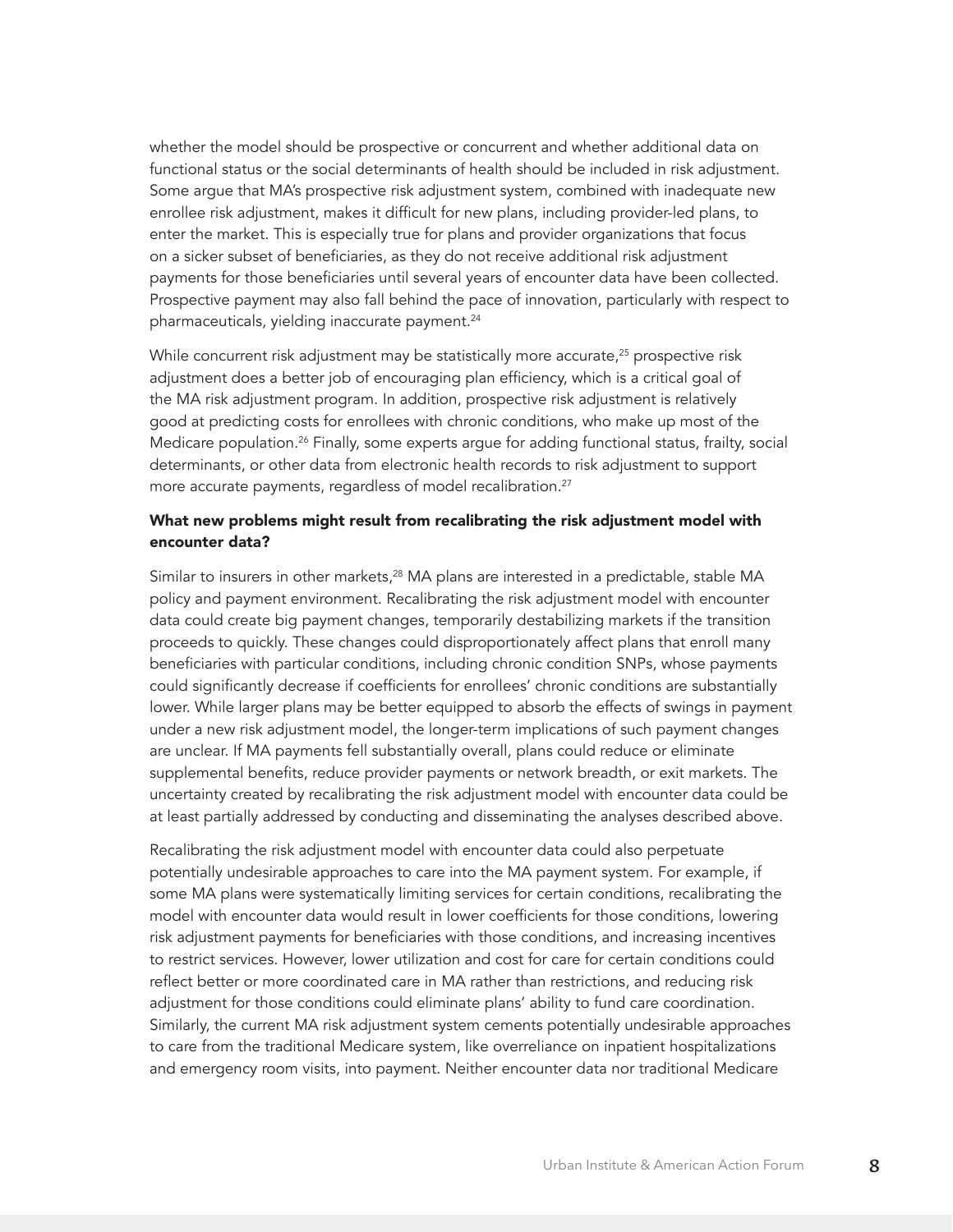whether the model should be prospective or concurrent and whether additional data on functional status or the social determinants of health should be included in risk adjustment. Some argue that MA's prospective risk adjustment system, combined with inadequate new enrollee risk adjustment, makes it difficult for new plans, including provider-led plans, to enter the market. This is especially true for plans and provider organizations that focus on a sicker subset of beneficiaries, as they do not receive additional risk adjustment payments for those beneficiaries until several years of encounter data have been collected. Prospective payment may also fall behind the pace of innovation, particularly with respect to pharmaceuticals, yielding inaccurate payment.<sup>24</sup>

While concurrent risk adjustment may be statistically more accurate, $25$  prospective risk adjustment does a better job of encouraging plan efficiency, which is a critical goal of the MA risk adjustment program. In addition, prospective risk adjustment is relatively good at predicting costs for enrollees with chronic conditions, who make up most of the Medicare population.<sup>26</sup> Finally, some experts argue for adding functional status, frailty, social determinants, or other data from electronic health records to risk adjustment to support more accurate payments, regardless of model recalibration.<sup>27</sup>

## What new problems might result from recalibrating the risk adjustment model with encounter data?

Similar to insurers in other markets,<sup>28</sup> MA plans are interested in a predictable, stable MA policy and payment environment. Recalibrating the risk adjustment model with encounter data could create big payment changes, temporarily destabilizing markets if the transition proceeds to quickly. These changes could disproportionately affect plans that enroll many beneficiaries with particular conditions, including chronic condition SNPs, whose payments could significantly decrease if coefficients for enrollees' chronic conditions are substantially lower. While larger plans may be better equipped to absorb the effects of swings in payment under a new risk adjustment model, the longer-term implications of such payment changes are unclear. If MA payments fell substantially overall, plans could reduce or eliminate supplemental benefits, reduce provider payments or network breadth, or exit markets. The uncertainty created by recalibrating the risk adjustment model with encounter data could be at least partially addressed by conducting and disseminating the analyses described above.

Recalibrating the risk adjustment model with encounter data could also perpetuate potentially undesirable approaches to care into the MA payment system. For example, if some MA plans were systematically limiting services for certain conditions, recalibrating the model with encounter data would result in lower coefficients for those conditions, lowering risk adjustment payments for beneficiaries with those conditions, and increasing incentives to restrict services. However, lower utilization and cost for care for certain conditions could reflect better or more coordinated care in MA rather than restrictions, and reducing risk adjustment for those conditions could eliminate plans' ability to fund care coordination. Similarly, the current MA risk adjustment system cements potentially undesirable approaches to care from the traditional Medicare system, like overreliance on inpatient hospitalizations and emergency room visits, into payment. Neither encounter data nor traditional Medicare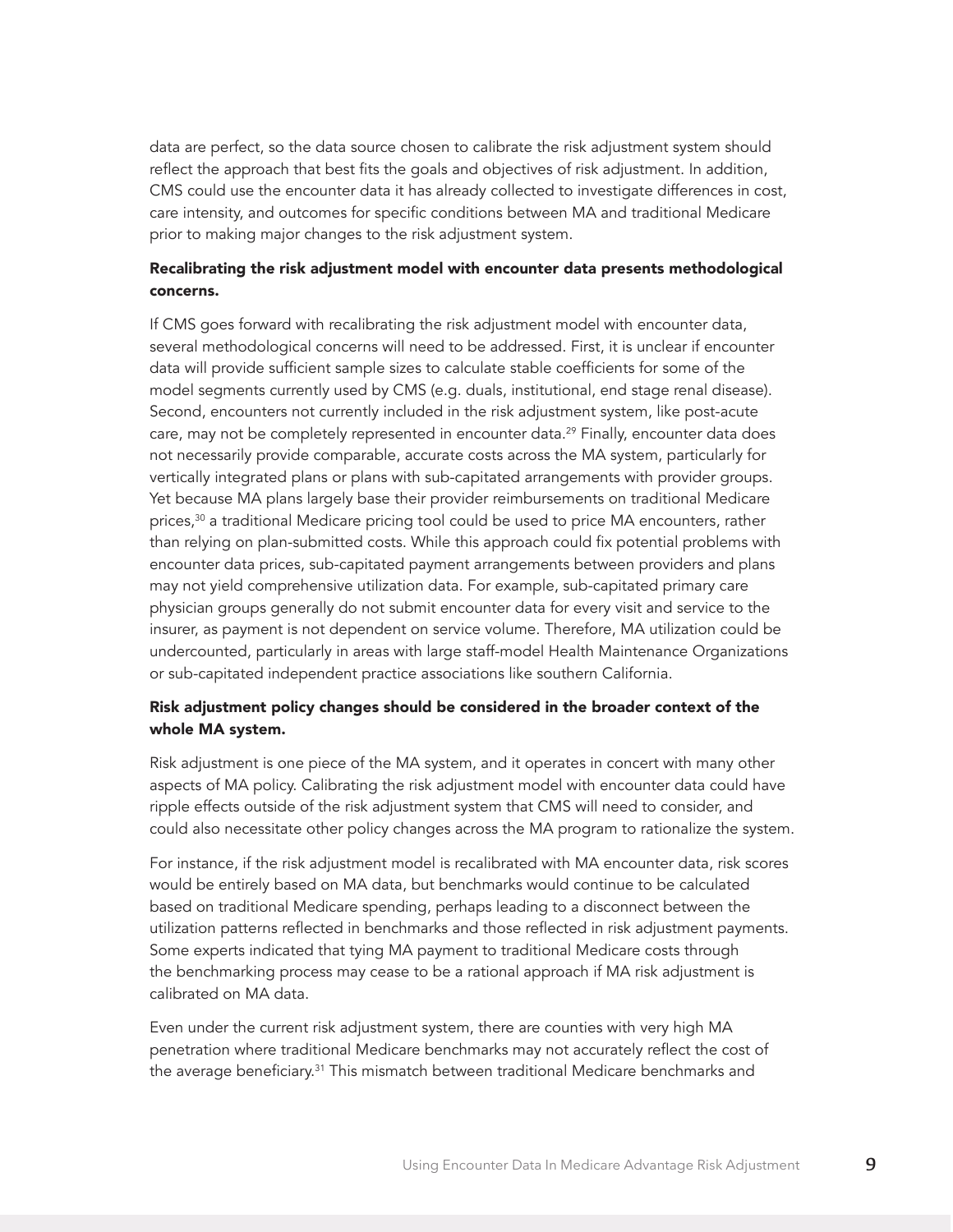data are perfect, so the data source chosen to calibrate the risk adjustment system should reflect the approach that best fits the goals and objectives of risk adjustment. In addition, CMS could use the encounter data it has already collected to investigate differences in cost, care intensity, and outcomes for specific conditions between MA and traditional Medicare prior to making major changes to the risk adjustment system.

## Recalibrating the risk adjustment model with encounter data presents methodological concerns.

If CMS goes forward with recalibrating the risk adjustment model with encounter data, several methodological concerns will need to be addressed. First, it is unclear if encounter data will provide sufficient sample sizes to calculate stable coefficients for some of the model segments currently used by CMS (e.g. duals, institutional, end stage renal disease). Second, encounters not currently included in the risk adjustment system, like post-acute care, may not be completely represented in encounter data.<sup>29</sup> Finally, encounter data does not necessarily provide comparable, accurate costs across the MA system, particularly for vertically integrated plans or plans with sub-capitated arrangements with provider groups. Yet because MA plans largely base their provider reimbursements on traditional Medicare prices,<sup>30</sup> a traditional Medicare pricing tool could be used to price MA encounters, rather than relying on plan-submitted costs. While this approach could fix potential problems with encounter data prices, sub-capitated payment arrangements between providers and plans may not yield comprehensive utilization data. For example, sub-capitated primary care physician groups generally do not submit encounter data for every visit and service to the insurer, as payment is not dependent on service volume. Therefore, MA utilization could be undercounted, particularly in areas with large staff-model Health Maintenance Organizations or sub-capitated independent practice associations like southern California.

## Risk adjustment policy changes should be considered in the broader context of the whole MA system.

Risk adjustment is one piece of the MA system, and it operates in concert with many other aspects of MA policy. Calibrating the risk adjustment model with encounter data could have ripple effects outside of the risk adjustment system that CMS will need to consider, and could also necessitate other policy changes across the MA program to rationalize the system.

For instance, if the risk adjustment model is recalibrated with MA encounter data, risk scores would be entirely based on MA data, but benchmarks would continue to be calculated based on traditional Medicare spending, perhaps leading to a disconnect between the utilization patterns reflected in benchmarks and those reflected in risk adjustment payments. Some experts indicated that tying MA payment to traditional Medicare costs through the benchmarking process may cease to be a rational approach if MA risk adjustment is calibrated on MA data.

Even under the current risk adjustment system, there are counties with very high MA penetration where traditional Medicare benchmarks may not accurately reflect the cost of the average beneficiary.31 This mismatch between traditional Medicare benchmarks and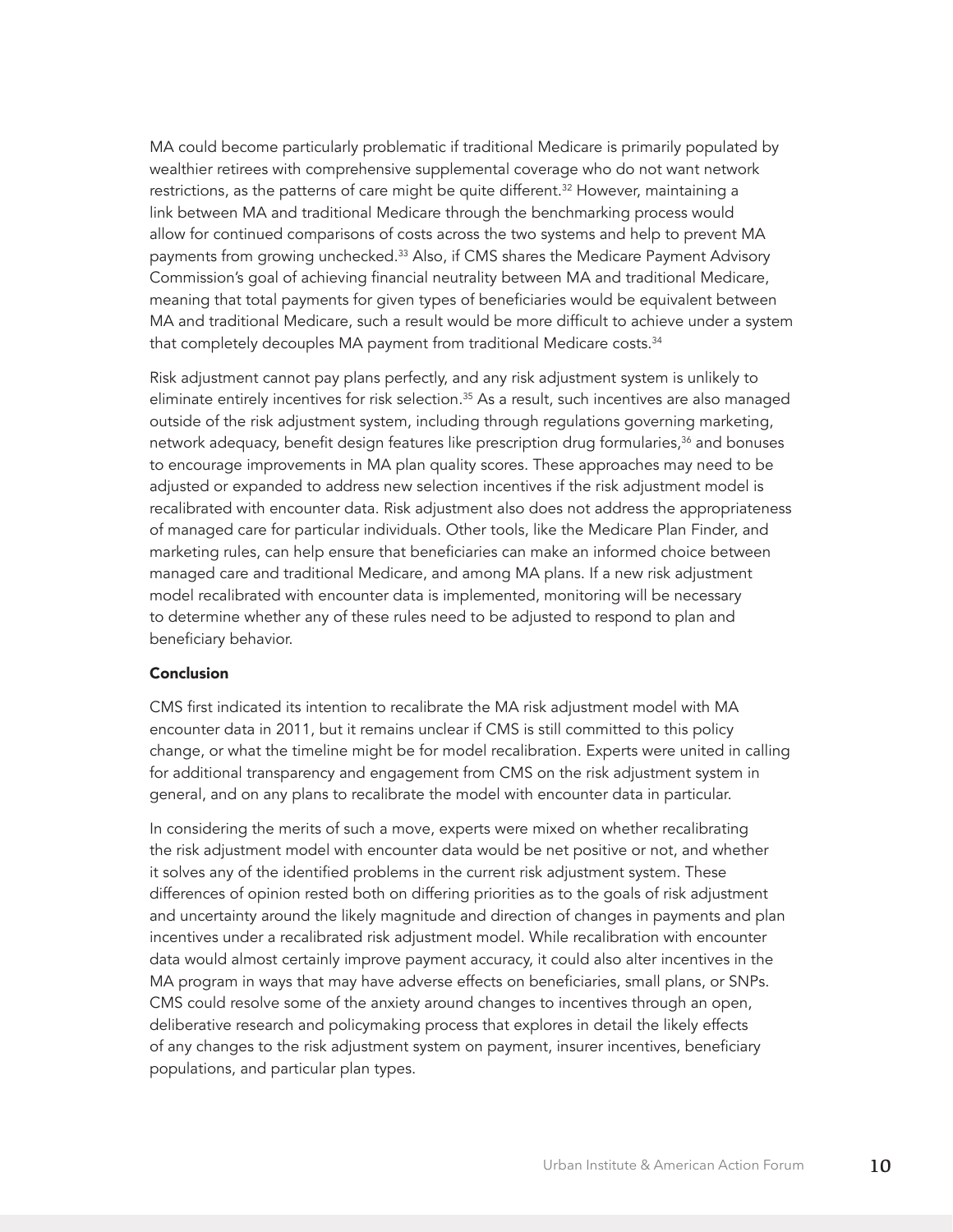MA could become particularly problematic if traditional Medicare is primarily populated by wealthier retirees with comprehensive supplemental coverage who do not want network restrictions, as the patterns of care might be quite different.<sup>32</sup> However, maintaining a link between MA and traditional Medicare through the benchmarking process would allow for continued comparisons of costs across the two systems and help to prevent MA payments from growing unchecked.<sup>33</sup> Also, if CMS shares the Medicare Payment Advisory Commission's goal of achieving financial neutrality between MA and traditional Medicare, meaning that total payments for given types of beneficiaries would be equivalent between MA and traditional Medicare, such a result would be more difficult to achieve under a system that completely decouples MA payment from traditional Medicare costs.<sup>34</sup>

Risk adjustment cannot pay plans perfectly, and any risk adjustment system is unlikely to eliminate entirely incentives for risk selection.<sup>35</sup> As a result, such incentives are also managed outside of the risk adjustment system, including through regulations governing marketing, network adequacy, benefit design features like prescription drug formularies,<sup>36</sup> and bonuses to encourage improvements in MA plan quality scores. These approaches may need to be adjusted or expanded to address new selection incentives if the risk adjustment model is recalibrated with encounter data. Risk adjustment also does not address the appropriateness of managed care for particular individuals. Other tools, like the Medicare Plan Finder, and marketing rules, can help ensure that beneficiaries can make an informed choice between managed care and traditional Medicare, and among MA plans. If a new risk adjustment model recalibrated with encounter data is implemented, monitoring will be necessary to determine whether any of these rules need to be adjusted to respond to plan and beneficiary behavior.

#### Conclusion

CMS first indicated its intention to recalibrate the MA risk adjustment model with MA encounter data in 2011, but it remains unclear if CMS is still committed to this policy change, or what the timeline might be for model recalibration. Experts were united in calling for additional transparency and engagement from CMS on the risk adjustment system in general, and on any plans to recalibrate the model with encounter data in particular.

In considering the merits of such a move, experts were mixed on whether recalibrating the risk adjustment model with encounter data would be net positive or not, and whether it solves any of the identified problems in the current risk adjustment system. These differences of opinion rested both on differing priorities as to the goals of risk adjustment and uncertainty around the likely magnitude and direction of changes in payments and plan incentives under a recalibrated risk adjustment model. While recalibration with encounter data would almost certainly improve payment accuracy, it could also alter incentives in the MA program in ways that may have adverse effects on beneficiaries, small plans, or SNPs. CMS could resolve some of the anxiety around changes to incentives through an open, deliberative research and policymaking process that explores in detail the likely effects of any changes to the risk adjustment system on payment, insurer incentives, beneficiary populations, and particular plan types.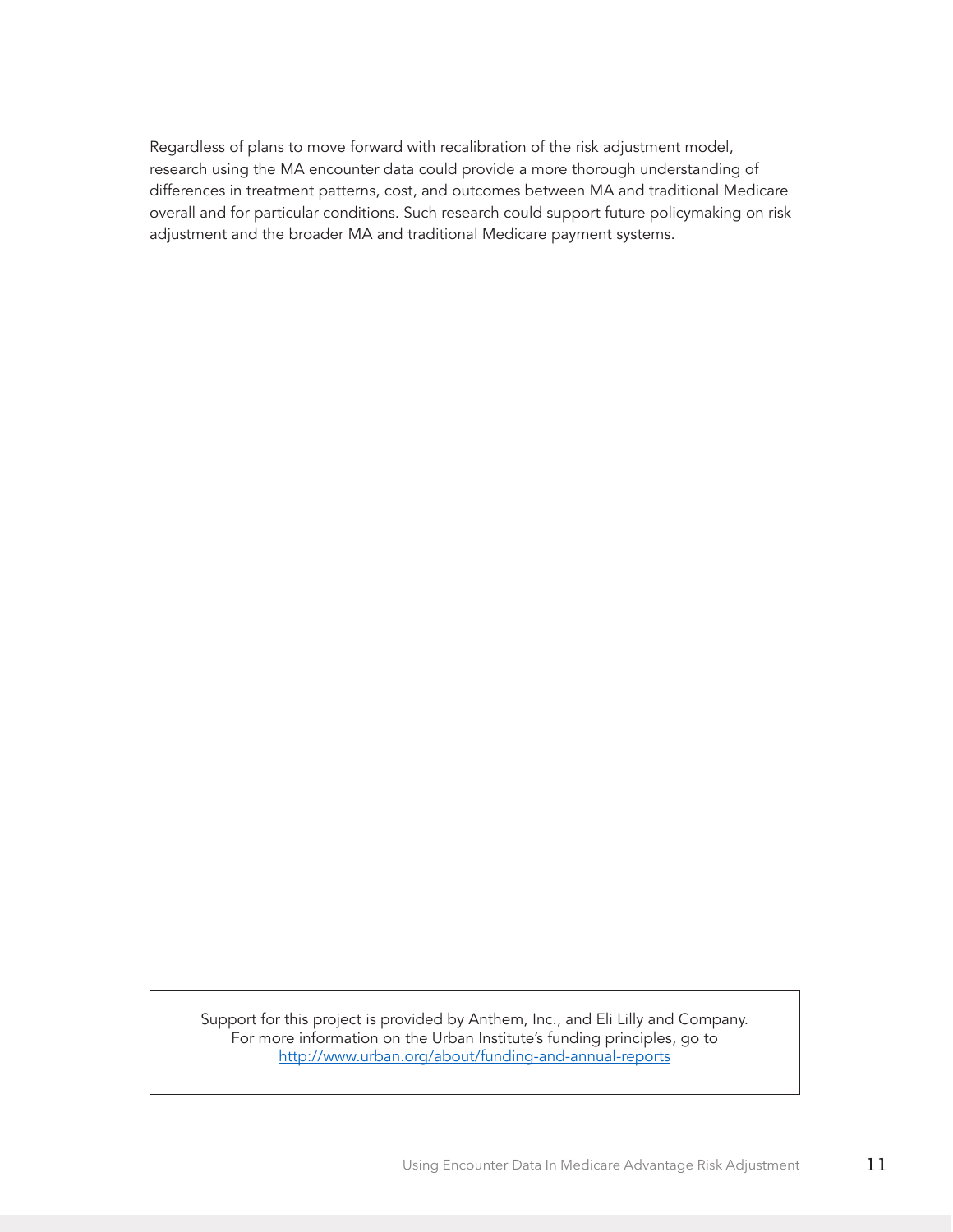Regardless of plans to move forward with recalibration of the risk adjustment model, research using the MA encounter data could provide a more thorough understanding of differences in treatment patterns, cost, and outcomes between MA and traditional Medicare overall and for particular conditions. Such research could support future policymaking on risk adjustment and the broader MA and traditional Medicare payment systems.

Support for this project is provided by Anthem, Inc., and Eli Lilly and Company. For more information on the Urban Institute's funding principles, go to <http://www.urban.org/about/funding-and-annual-reports>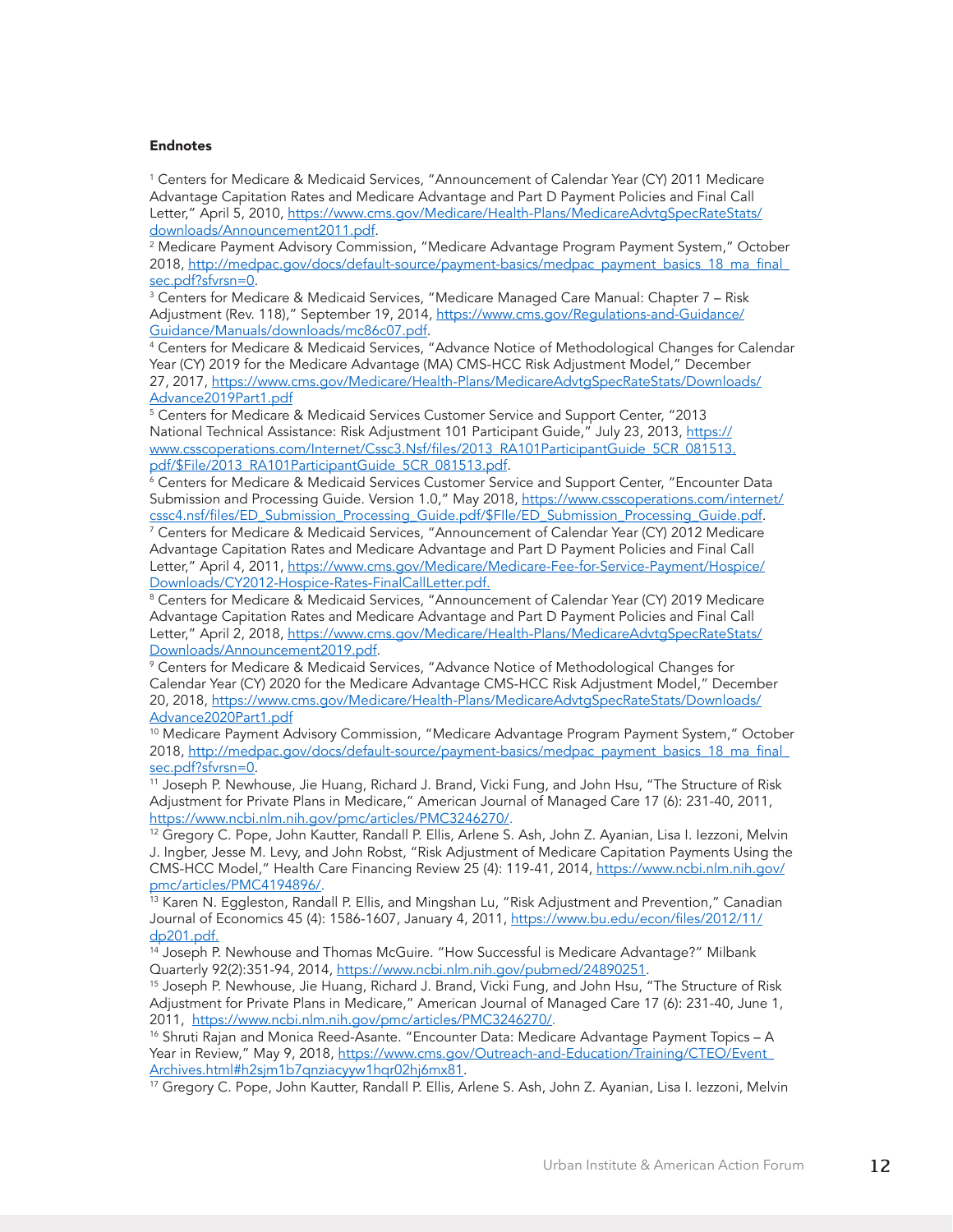#### Endnotes

1 Centers for Medicare & Medicaid Services, "Announcement of Calendar Year (CY) 2011 Medicare Advantage Capitation Rates and Medicare Advantage and Part D Payment Policies and Final Call Letter," April 5, 2010, [https://www.cms.gov/Medicare/Health-Plans/MedicareAdvtgSpecRateStats/](https://www.cms.gov/Medicare/Health-Plans/MedicareAdvtgSpecRateStats/downloads/Announcement2011.pdf) [downloads/Announcement2011.pdf](https://www.cms.gov/Medicare/Health-Plans/MedicareAdvtgSpecRateStats/downloads/Announcement2011.pdf).

2 Medicare Payment Advisory Commission, "Medicare Advantage Program Payment System," October 2018, [http://medpac.gov/docs/default-source/payment-basics/medpac\\_payment\\_basics\\_18\\_ma\\_final\\_](http://medpac.gov/docs/default-source/payment-basics/medpac_payment_basics_18_ma_final_sec.pdf?sfvrsn=0) [sec.pdf?sfvrsn=0](http://medpac.gov/docs/default-source/payment-basics/medpac_payment_basics_18_ma_final_sec.pdf?sfvrsn=0).

3 Centers for Medicare & Medicaid Services, "Medicare Managed Care Manual: Chapter 7 – Risk Adjustment (Rev. 118)," September 19, 2014, [https://www.cms.gov/Regulations-and-Guidance/](https://www.cms.gov/Regulations-and-Guidance/Guidance/Manuals/downloads/mc86c07.pdf) [Guidance/Manuals/downloads/mc86c07.pdf.](https://www.cms.gov/Regulations-and-Guidance/Guidance/Manuals/downloads/mc86c07.pdf)

4 Centers for Medicare & Medicaid Services, "Advance Notice of Methodological Changes for Calendar Year (CY) 2019 for the Medicare Advantage (MA) CMS-HCC Risk Adjustment Model," December 27, 2017, [https://www.cms.gov/Medicare/Health-Plans/MedicareAdvtgSpecRateStats/Downloads/](https://www.cms.gov/Medicare/Health-Plans/MedicareAdvtgSpecRateStats/Downloads/Advance2019Part1.pdf) [Advance2019Part1.pdf](https://www.cms.gov/Medicare/Health-Plans/MedicareAdvtgSpecRateStats/Downloads/Advance2019Part1.pdf)

5 Centers for Medicare & Medicaid Services Customer Service and Support Center, "2013 National Technical Assistance: Risk Adjustment 101 Participant Guide," July 23, 2013, [https://](https://www.csscoperations.com/Internet/Cssc3.Nsf/files/2013_RA101ParticipantGuide_5CR_081513.pdf/$File/2013_RA101ParticipantGuide_5CR_081513.pdf) [www.csscoperations.com/Internet/Cssc3.Nsf/files/2013\\_RA101ParticipantGuide\\_5CR\\_081513.](https://www.csscoperations.com/Internet/Cssc3.Nsf/files/2013_RA101ParticipantGuide_5CR_081513.pdf/$File/2013_RA101ParticipantGuide_5CR_081513.pdf) [pdf/\\$File/2013\\_RA101ParticipantGuide\\_5CR\\_081513.pdf](https://www.csscoperations.com/Internet/Cssc3.Nsf/files/2013_RA101ParticipantGuide_5CR_081513.pdf/$File/2013_RA101ParticipantGuide_5CR_081513.pdf).

 $^6$  Centers for Medicare & Medicaid Services Customer Service and Support Center, "Encounter Data  $^\mathrm{h}$ Submission and Processing Guide. Version 1.0," May 2018, [https://www.csscoperations.com/internet/](https://www.csscoperations.com/internet/cssc4.nsf/files/ED_Submission_Processing_Guide.pdf/$FIle/ED_Submission_Processing_Guide.pdf) [cssc4.nsf/files/ED\\_Submission\\_Processing\\_Guide.pdf/\\$FIle/ED\\_Submission\\_Processing\\_Guide.pdf](https://www.csscoperations.com/internet/cssc4.nsf/files/ED_Submission_Processing_Guide.pdf/$FIle/ED_Submission_Processing_Guide.pdf).

7 Centers for Medicare & Medicaid Services, "Announcement of Calendar Year (CY) 2012 Medicare Advantage Capitation Rates and Medicare Advantage and Part D Payment Policies and Final Call Letter," April 4, 2011, [https://www.cms.gov/Medicare/Medicare-Fee-for-Service-Payment/Hospice/](https://www.cms.gov/Medicare/Medicare-Fee-for-Service-Payment/Hospice/Downloads/CY2012-Hospice-Rates-FinalCallLetter.pdf) [Downloads/CY2012-Hospice-Rates-FinalCallLetter.pdf.](https://www.cms.gov/Medicare/Medicare-Fee-for-Service-Payment/Hospice/Downloads/CY2012-Hospice-Rates-FinalCallLetter.pdf)

8 Centers for Medicare & Medicaid Services, "Announcement of Calendar Year (CY) 2019 Medicare Advantage Capitation Rates and Medicare Advantage and Part D Payment Policies and Final Call Letter," April 2, 2018, [https://www.cms.gov/Medicare/Health-Plans/MedicareAdvtgSpecRateStats/](https://www.cms.gov/Medicare/Health-Plans/MedicareAdvtgSpecRateStats/Downloads/Announcement2019.pdf) [Downloads/Announcement2019.pdf](https://www.cms.gov/Medicare/Health-Plans/MedicareAdvtgSpecRateStats/Downloads/Announcement2019.pdf).

9 Centers for Medicare & Medicaid Services, "Advance Notice of Methodological Changes for Calendar Year (CY) 2020 for the Medicare Advantage CMS-HCC Risk Adjustment Model," December 20, 2018, [https://www.cms.gov/Medicare/Health-Plans/MedicareAdvtgSpecRateStats/Downloads/](https://www.cms.gov/Medicare/Health-Plans/MedicareAdvtgSpecRateStats/Downloads/Advance2020Part1.pdf) [Advance2020Part1.pdf](https://www.cms.gov/Medicare/Health-Plans/MedicareAdvtgSpecRateStats/Downloads/Advance2020Part1.pdf)

<sup>10</sup> Medicare Payment Advisory Commission, "Medicare Advantage Program Payment System," October 2018, [http://medpac.gov/docs/default-source/payment-basics/medpac\\_payment\\_basics\\_18\\_ma\\_final\\_](http://medpac.gov/docs/default-source/payment-basics/medpac_payment_basics_18_ma_final_sec.pdf?sfvrsn=0) [sec.pdf?sfvrsn=0](http://medpac.gov/docs/default-source/payment-basics/medpac_payment_basics_18_ma_final_sec.pdf?sfvrsn=0).

<sup>11</sup> Joseph P. Newhouse, Jie Huang, Richard J. Brand, Vicki Fung, and John Hsu, "The Structure of Risk Adjustment for Private Plans in Medicare," American Journal of Managed Care 17 (6): 231-40, 2011, <https://www.ncbi.nlm.nih.gov/pmc/articles/PMC3246270/>.

<sup>12</sup> Gregory C. Pope, John Kautter, Randall P. Ellis, Arlene S. Ash, John Z. Ayanian, Lisa I. Iezzoni, Melvin J. Ingber, Jesse M. Levy, and John Robst, "Risk Adjustment of Medicare Capitation Payments Using the CMS-HCC Model," Health Care Financing Review 25 (4): 119-41, 2014, [https://www.ncbi.nlm.nih.gov/](https://www.ncbi.nlm.nih.gov/pmc/articles/PMC4194896/) [pmc/articles/PMC4194896/](https://www.ncbi.nlm.nih.gov/pmc/articles/PMC4194896/).

<sup>13</sup> Karen N. Eggleston, Randall P. Ellis, and Mingshan Lu, "Risk Adjustment and Prevention," Canadian Journal of Economics 45 (4): 1586-1607, January 4, 2011, [https://www.bu.edu/econ/files/2012/11/](https://www.bu.edu/econ/files/2012/11/dp201.pdf) [dp201.pdf](https://www.bu.edu/econ/files/2012/11/dp201.pdf).

 $14$  Joseph P. Newhouse and Thomas McGuire. "How Successful is Medicare Advantage?" Milbank<br>Quarterly 92(2):351-94, 2014, https://www.ncbi.nlm.nih.gov/pubmed/24890251.

<sup>15</sup> Joseph P. Newhouse, Jie Huang, Richard J. Brand, Vicki Fung, and John Hsu, "The Structure of Risk Adjustment for Private Plans in Medicare," American Journal of Managed Care 17 (6): 231-40, June 1, 2011, [https://www.ncbi.nlm.nih.gov/pmc/articles/PMC3246270/.](https://www.ncbi.nlm.nih.gov/pmc/articles/PMC3246270/)

<sup>16</sup> Shruti Rajan and Monica Reed-Asante. "Encounter Data: Medicare Advantage Payment Topics - A Year in Review," May 9, 2018, <u>https://www.cms.gov/Outreach-and-Education/Training/CTEO/Event\_</u><br><u>Archives.html#h2sjm1b7qnziacyyw1hqr02hj6mx81</u>.

<sup>17</sup> Gregory C. Pope, John Kautter, Randall P. Ellis, Arlene S. Ash, John Z. Ayanian, Lisa I. Iezzoni, Melvin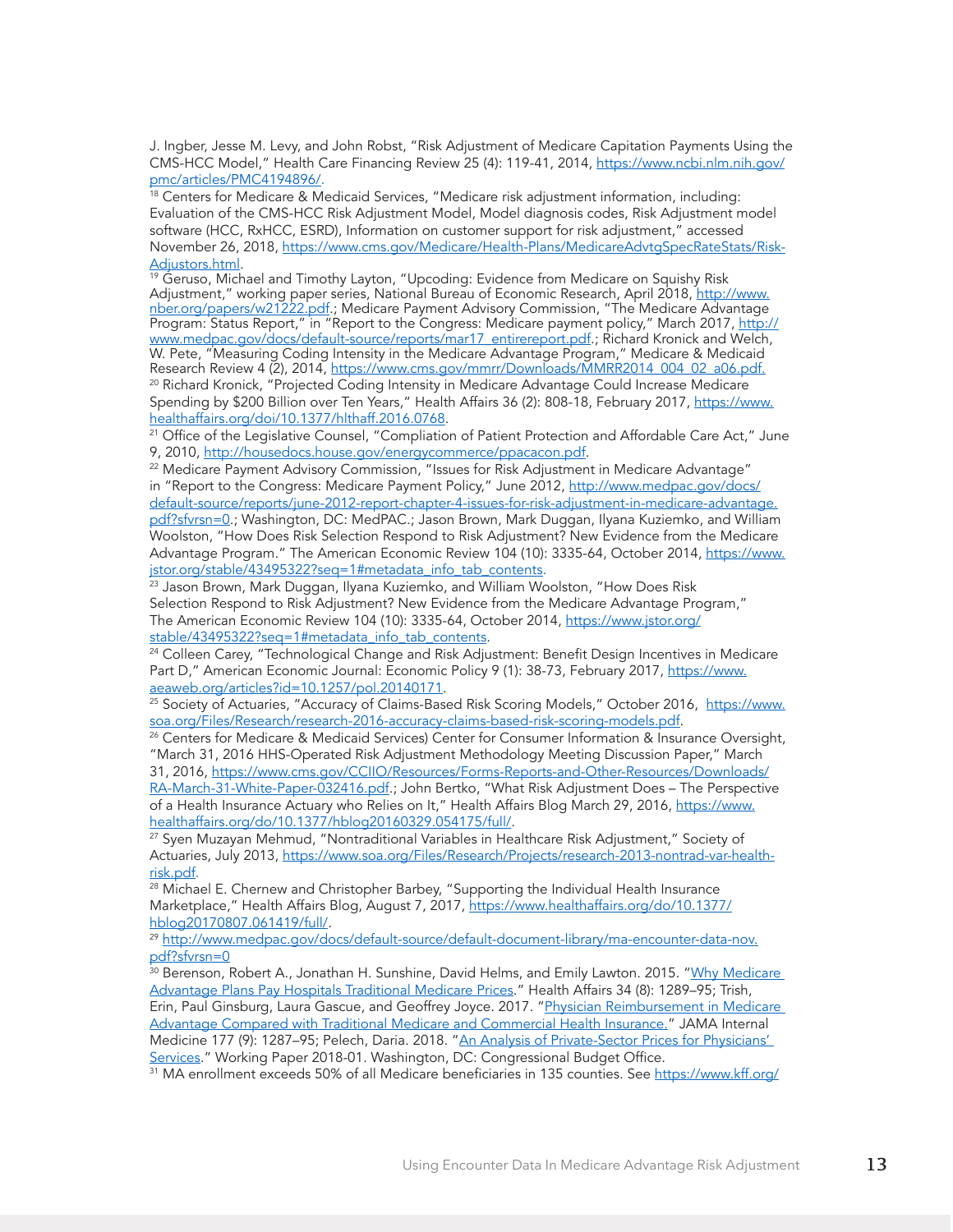J. Ingber, Jesse M. Levy, and John Robst, "Risk Adjustment of Medicare Capitation Payments Using the CMS-HCC Model," Health Care Financing Review 25 (4): 119-41, 2014, [https://www.ncbi.nlm.nih.gov/](https://www.ncbi.nlm.nih.gov/pmc/articles/PMC4194896/) [pmc/articles/PMC4194896/](https://www.ncbi.nlm.nih.gov/pmc/articles/PMC4194896/).

 $18$  Centers for Medicare & Medicaid Services, "Medicare risk adjustment information, including: Evaluation of the CMS-HCC Risk Adjustment Model, Model diagnosis codes, Risk Adjustment model software (HCC, RxHCC, ESRD), Information on customer support for risk adjustment," accessed November 26, 2018, [https://www.cms.gov/Medicare/Health-Plans/MedicareAdvtgSpecRateStats/Risk-](https://www.cms.gov/Medicare/Health-Plans/MedicareAdvtgSpecRateStats/Risk-Adjustors.html)[Adjustors.html](https://www.cms.gov/Medicare/Health-Plans/MedicareAdvtgSpecRateStats/Risk-Adjustors.html).

<sup>19</sup> Geruso, Michael and Timothy Layton, "Upcoding: Evidence from Medicare on Squishy Risk Adjustment," working paper series, National Bureau of Economic Research, April 2018, [http://www.](http://www.nber.org/papers/w21222.pdf) [nber.org/papers/w21222.pdf.](http://www.nber.org/papers/w21222.pdf); Medicare Payment Advisory Commission, "The Medicare Advantage Program: Status Report," in "Report to the Congress: Medicare payment policy," March 2017, [http://](http://www.medpac.gov/docs/default-source/reports/mar17_entirereport.pdf) [www.medpac.gov/docs/default-source/reports/mar17\\_entirereport.pdf](http://www.medpac.gov/docs/default-source/reports/mar17_entirereport.pdf).; Richard Kronick and Welch, W. Pete, "Measuring Coding Intensity in the Medicare Advantage Program," Medicare & Medicaid Research Review 4 (2), 2014, [https://www.cms.gov/mmrr/Downloads/MMRR2014\\_004\\_02\\_a06.pdf.](https://www.cms.gov/mmrr/Downloads/MMRR2014_004_02_a06.pdf) <sup>20</sup> Richard Kronick, "Projected Coding Intensity in Medicare Advantage Could Increase Medicare

Spending by \$200 Billion over Ten Years," Health Affairs 36 (2): 808-18, February 2017, [https://www.](https://www.healthaffairs.org/doi/10.1377/hlthaff.2016.0768) [healthaffairs.org/doi/10.1377/hlthaff.2016.0768](https://www.healthaffairs.org/doi/10.1377/hlthaff.2016.0768).

<sup>21</sup> Office of the Legislative Counsel, "Compliation of Patient Protection and Affordable Care Act," June 9, 2010, <http://housedocs.house.gov/energycommerce/ppacacon.pdf>.

<sup>22</sup> Medicare Payment Advisory Commission, "Issues for Risk Adjustment in Medicare Advantage" in "Report to the Congress: Medicare Payment Policy," June 2012, [http://www.medpac.gov/docs/](http://www.medpac.gov/docs/default-source/reports/june-2012-report-chapter-4-issues-for-risk-adjustment-in-medicare-advantage.pdf?sfvrsn=0) [default-source/reports/june-2012-report-chapter-4-issues-for-risk-adjustment-in-medicare-advantage.](http://www.medpac.gov/docs/default-source/reports/june-2012-report-chapter-4-issues-for-risk-adjustment-in-medicare-advantage.pdf?sfvrsn=0) [pdf?sfvrsn=0.](http://www.medpac.gov/docs/default-source/reports/june-2012-report-chapter-4-issues-for-risk-adjustment-in-medicare-advantage.pdf?sfvrsn=0); Washington, DC: MedPAC.; Jason Brown, Mark Duggan, Ilyana Kuziemko, and William

Woolston, "How Does Risk Selection Respond to Risk Adjustment? New Evidence from the Medicare Advantage Program." The American Economic Review 104 (10): 3335-64, October 2014, https://www. jstor.org/stable/43495322?seq=1#metadata\_info\_tab\_contents.

<sup>23</sup> Jason Brown, Mark Duggan, Ilyana Kuziemko, and William Woolston, "How Does Risk Selection Respond to Risk Adjustment? New Evidence from the Medicare Advantage Program," The American Economic Review 104 (10): 3335-64, October 2014, https://www.jstor.org/ stable/43495322?seq=1#metadata\_info\_tab\_contents.

<sup>24</sup> Colleen Carey, "Technological Change and Risk Adjustment: Benefit Design Incentives in Medicare Part D," American Economic Journal: Economic Policy 9 (1): 38-73, February 2017, [https://www.](https://www.aeaweb.org/articles?id=10.1257/pol.20140171) [aeaweb.org/articles?id=10.1257/pol.20140171](https://www.aeaweb.org/articles?id=10.1257/pol.20140171).

<sup>25</sup> Society of Actuaries, "Accuracy of Claims-Based Risk Scoring Models," October 2016, [https://www.](https://www.soa.org/Files/Research/research-2016-accuracy-claims-based-risk-scoring-models.pdf) [soa.org/Files/Research/research-2016-accuracy-claims-based-risk-scoring-models.pdf](https://www.soa.org/Files/Research/research-2016-accuracy-claims-based-risk-scoring-models.pdf).

<sup>26</sup> Centers for Medicare & Medicaid Services) Center for Consumer Information & Insurance Oversight, "March 31, 2016 HHS-Operated Risk Adjustment Methodology Meeting Discussion Paper," March 31, 2016, [https://www.cms.gov/CCIIO/Resources/Forms-Reports-and-Other-Resources/Downloads/](https://www.cms.gov/CCIIO/Resources/Forms-Reports-and-Other-Resources/Downloads/RA-March-31-White-Paper-032416.pdf)

[RA-March-31-White-Paper-032416.pdf](https://www.cms.gov/CCIIO/Resources/Forms-Reports-and-Other-Resources/Downloads/RA-March-31-White-Paper-032416.pdf).; John Bertko, "What Risk Adjustment Does - The Perspective of a Health Insurance Actuary who Relies on It," Health Affairs Blog March 29, 2016, [https://www.](https://www.healthaffairs.org/do/10.1377/hblog20160329.054175/full/) [healthaffairs.org/do/10.1377/hblog20160329.054175/full/](https://www.healthaffairs.org/do/10.1377/hblog20160329.054175/full/).

<sup>27</sup> Syen Muzayan Mehmud, "Nontraditional Variables in Healthcare Risk Adjustment," Society of Actuaries, July 2013, [https://www.soa.org/Files/Research/Projects/research-2013-nontrad-var-health](https://www.soa.org/Files/Research/Projects/research-2013-nontrad-var-health-risk.pdf)[risk.pdf.](https://www.soa.org/Files/Research/Projects/research-2013-nontrad-var-health-risk.pdf)

<sup>28</sup> Michael E. Chernew and Christopher Barbey, "Supporting the Individual Health Insurance Marketplace," Health Affairs Blog, August 7, 2017, [https://www.healthaffairs.org/do/10.1377/](https://www.healthaffairs.org/do/10.1377/hblog20170807.061419/full/) [hblog20170807.061419/full/](https://www.healthaffairs.org/do/10.1377/hblog20170807.061419/full/).

<sup>29</sup> [http://www.medpac.gov/docs/default-source/default-document-library/ma-encounter-data-nov.](http://www.medpac.gov/docs/default-source/default-document-library/ma-encounter-data-nov.pdf?sfvrsn=0) [pdf?sfvrsn=0](http://www.medpac.gov/docs/default-source/default-document-library/ma-encounter-data-nov.pdf?sfvrsn=0)

<sup>30</sup> Berenson, Robert A., Jonathan H. Sunshine, David Helms, and Emily Lawton. 2015. "Why Medicare [Advantage Plans Pay Hospitals Traditional Medicare Prices](https://www.healthaffairs.org/doi/10.1377/hlthaff.2014.1427)." Health Affairs 34 (8): 1289–95; Trish, Erin, Paul Ginsburg, Laura Gascue, and Geoffrey Joyce. 2017. "Physician Reimbursement in Medicare [Advantage Compared with Traditional Medicare and Commercial Health Insurance.](https://www.ncbi.nlm.nih.gov/pubmed/28692718)" JAMA Internal Medicine 177 (9): 1287–95; Pelech, Daria. 2018. "An Analysis of Private-Sector Prices for Physicians' [Services](https://www.cbo.gov/system/files?file=115th-congress-2017-2018/workingpaper/53441-workingpaper.pdf)." Working Paper 2018-01. Washington, DC: Congressional Budget Office.

<sup>31</sup> MA enrollment exceeds 50% of all Medicare beneficiaries in 135 counties. See [https://www.kff.org/](https://www.kff.org/medicare/issue-brief/a-dozen-facts-about-medicare-advantage/)